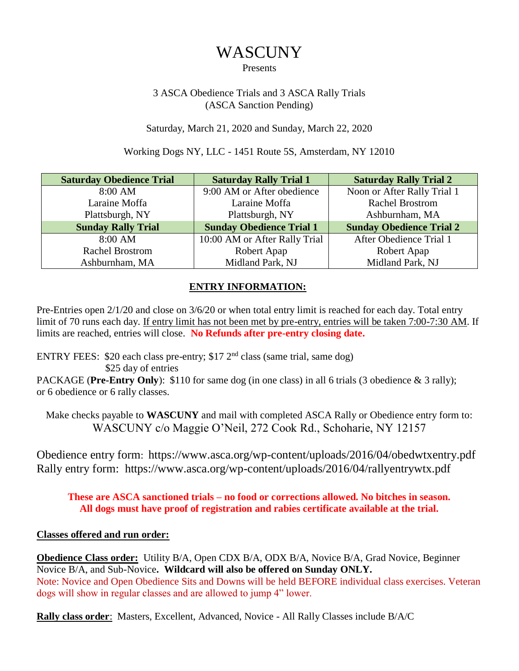# WASCUNY

#### Presents

## 3 ASCA Obedience Trials and 3 ASCA Rally Trials (ASCA Sanction Pending)

## Saturday, March 21, 2020 and Sunday, March 22, 2020

## Working Dogs NY, LLC - 1451 Route 5S, Amsterdam, NY 12010

| <b>Saturday Obedience Trial</b> | <b>Saturday Rally Trial 1</b>   | <b>Saturday Rally Trial 2</b>   |
|---------------------------------|---------------------------------|---------------------------------|
| 8:00 AM                         | 9:00 AM or After obedience      | Noon or After Rally Trial 1     |
| Laraine Moffa                   | Laraine Moffa                   | <b>Rachel Brostrom</b>          |
| Plattsburgh, NY                 | Plattsburgh, NY                 | Ashburnham, MA                  |
| <b>Sunday Rally Trial</b>       | <b>Sunday Obedience Trial 1</b> | <b>Sunday Obedience Trial 2</b> |
| 8:00 AM                         | 10:00 AM or After Rally Trial   | After Obedience Trial 1         |
| <b>Rachel Brostrom</b>          | Robert Apap                     | Robert Apap                     |
| Ashburnham, MA                  | Midland Park, NJ                | Midland Park, NJ                |

# **ENTRY INFORMATION:**

Pre-Entries open 2/1/20 and close on 3/6/20 or when total entry limit is reached for each day. Total entry limit of 70 runs each day. If entry limit has not been met by pre-entry, entries will be taken 7:00-7:30 AM. If limits are reached, entries will close. **No Refunds after pre-entry closing date.**

ENTRY FEES: \$20 each class pre-entry; \$17  $2<sup>nd</sup>$  class (same trial, same dog) \$25 day of entries

PACKAGE (**Pre-Entry Only**): \$110 for same dog (in one class) in all 6 trials (3 obedience & 3 rally); or 6 obedience or 6 rally classes.

Make checks payable to **WASCUNY** and mail with completed ASCA Rally or Obedience entry form to: WASCUNY c/o Maggie O'Neil, 272 Cook Rd., Schoharie, NY 12157

Obedience entry form: https://www.asca.org/wp-content/uploads/2016/04/obedwtxentry.pdf Rally entry form: https://www.asca.org/wp-content/uploads/2016/04/rallyentrywtx.pdf

**These are ASCA sanctioned trials – no food or corrections allowed. No bitches in season. All dogs must have proof of registration and rabies certificate available at the trial.**

#### **Classes offered and run order:**

**Obedience Class order:** Utility B/A, Open CDX B/A, ODX B/A, Novice B/A, Grad Novice, Beginner Novice B/A, and Sub-Novice**. Wildcard will also be offered on Sunday ONLY.** Note: Novice and Open Obedience Sits and Downs will be held BEFORE individual class exercises. Veteran dogs will show in regular classes and are allowed to jump 4" lower.

**Rally class order**: Masters, Excellent, Advanced, Novice - All Rally Classes include B/A/C